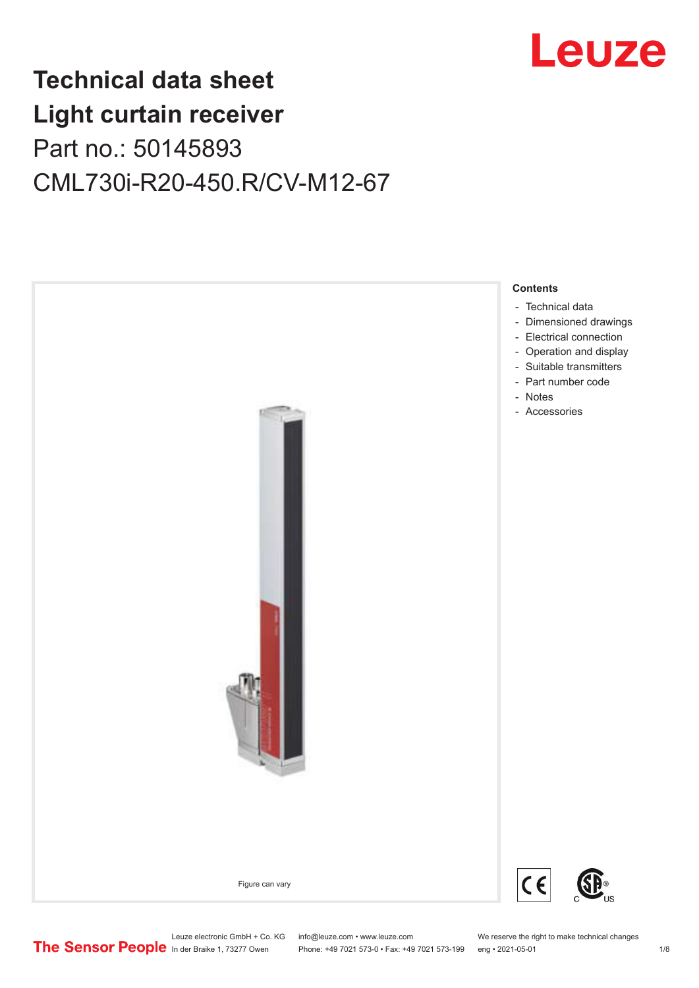

## **Technical data sheet Light curtain receiver** Part no.: 50145893 CML730i-R20-450.R/CV-M12-67



Leuze electronic GmbH + Co. KG info@leuze.com • www.leuze.com We reserve the right to make technical changes<br>
The Sensor People in der Braike 1, 73277 Owen Phone: +49 7021 573-0 • Fax: +49 7021 573-199 eng • 2021-05-01

Phone: +49 7021 573-0 • Fax: +49 7021 573-199 eng • 2021-05-01 1 2021-05-01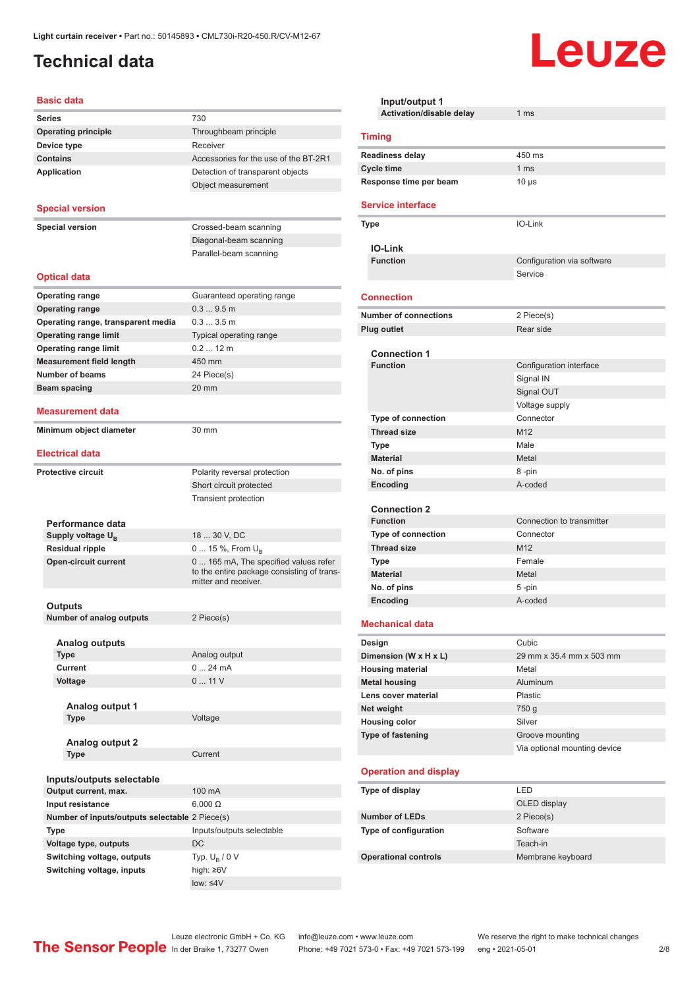#### <span id="page-1-0"></span>**Technical data**

| <b>Basic data</b>                              |                                                                                                             |
|------------------------------------------------|-------------------------------------------------------------------------------------------------------------|
| <b>Series</b>                                  | 730                                                                                                         |
| <b>Operating principle</b>                     | Throughbeam principle                                                                                       |
| Device type                                    | Receiver                                                                                                    |
| <b>Contains</b>                                | Accessories for the use of the BT-2R1                                                                       |
| <b>Application</b>                             | Detection of transparent objects                                                                            |
|                                                | Object measurement                                                                                          |
| <b>Special version</b>                         |                                                                                                             |
| <b>Special version</b>                         | Crossed-beam scanning                                                                                       |
|                                                | Diagonal-beam scanning                                                                                      |
|                                                | Parallel-beam scanning                                                                                      |
| <b>Optical data</b>                            |                                                                                                             |
|                                                |                                                                                                             |
| <b>Operating range</b>                         | Guaranteed operating range                                                                                  |
| <b>Operating range</b>                         | 0.39.5m                                                                                                     |
| Operating range, transparent media             | 0.33.5m                                                                                                     |
| <b>Operating range limit</b>                   | <b>Typical operating range</b>                                                                              |
| <b>Operating range limit</b>                   | $0.212$ m                                                                                                   |
| <b>Measurement field length</b>                | 450 mm                                                                                                      |
| <b>Number of beams</b>                         | 24 Piece(s)                                                                                                 |
| Beam spacing                                   | $20 \text{ mm}$                                                                                             |
| Measurement data                               |                                                                                                             |
| Minimum object diameter                        | 30 mm                                                                                                       |
| <b>Electrical data</b>                         |                                                                                                             |
| <b>Protective circuit</b>                      |                                                                                                             |
|                                                | Polarity reversal protection                                                                                |
|                                                | Short circuit protected                                                                                     |
|                                                | <b>Transient protection</b>                                                                                 |
| Performance data                               |                                                                                                             |
| Supply voltage U <sub>B</sub>                  | 18  30 V, DC                                                                                                |
| <b>Residual ripple</b>                         | 0  15 %, From $U_{\rm B}$                                                                                   |
| <b>Open-circuit current</b>                    | 0  165 mA, The specified values refer<br>to the entire package consisting of trans-<br>mitter and receiver. |
|                                                |                                                                                                             |
| Outputs                                        |                                                                                                             |
| <b>Number of analog outputs</b>                | 2 Piece(s)                                                                                                  |
| <b>Analog outputs</b>                          |                                                                                                             |
| Type                                           | Analog output                                                                                               |
| Current                                        | 024mA                                                                                                       |
| Voltage                                        | 011V                                                                                                        |
|                                                |                                                                                                             |
| Analog output 1                                |                                                                                                             |
| <b>Type</b>                                    | Voltage                                                                                                     |
|                                                |                                                                                                             |
| Analog output 2                                |                                                                                                             |
| <b>Type</b>                                    | Current                                                                                                     |
|                                                |                                                                                                             |
| Inputs/outputs selectable                      |                                                                                                             |
| Output current, max.                           | 100 mA                                                                                                      |
| Input resistance                               | $6,000 \Omega$                                                                                              |
| Number of inputs/outputs selectable 2 Piece(s) |                                                                                                             |
| Type                                           | Inputs/outputs selectable                                                                                   |
| Voltage type, outputs                          | DC                                                                                                          |

| Input/output 1               |                              |
|------------------------------|------------------------------|
| Activation/disable delay     | 1 <sub>ms</sub>              |
| <b>Timing</b>                |                              |
| <b>Readiness delay</b>       | 450 ms                       |
| <b>Cycle time</b>            | 1 <sub>ms</sub>              |
| Response time per beam       | $10 \mu s$                   |
| <b>Service interface</b>     |                              |
| Type                         | IO-Link                      |
|                              |                              |
| <b>IO-Link</b>               |                              |
| <b>Function</b>              | Configuration via software   |
|                              | Service                      |
|                              |                              |
| <b>Connection</b>            |                              |
| <b>Number of connections</b> | 2 Piece(s)                   |
| <b>Plug outlet</b>           | Rear side                    |
| <b>Connection 1</b>          |                              |
| <b>Function</b>              | Configuration interface      |
|                              | Signal IN                    |
|                              | Signal OUT                   |
|                              | Voltage supply               |
| <b>Type of connection</b>    | Connector                    |
| <b>Thread size</b>           | M12                          |
| Type                         | Male                         |
| <b>Material</b>              | Metal                        |
| No. of pins                  | 8-pin                        |
| Encoding                     | A-coded                      |
|                              |                              |
| <b>Connection 2</b>          |                              |
| <b>Function</b>              | Connection to transmitter    |
| Type of connection           | Connector                    |
| <b>Thread size</b>           | M12                          |
| Type                         | Female                       |
| <b>Material</b>              | Metal                        |
| No. of pins                  | 5-pin                        |
| Encoding                     | A-coded                      |
| <b>Mechanical data</b>       |                              |
| Design                       | Cubic                        |
| Dimension (W x H x L)        | 29 mm x 35.4 mm x 503 mm     |
| <b>Housing material</b>      | Metal                        |
| <b>Metal housing</b>         | Aluminum                     |
| Lens cover material          | Plastic                      |
| Net weight                   | 750 g                        |
| <b>Housing color</b>         | Silver                       |
| Type of fastening            | Groove mounting              |
|                              | Via optional mounting device |
| <b>Operation and display</b> |                              |
| Type of display              | LED                          |
|                              | OLED display                 |
| <b>Number of LEDs</b>        | 2 Piece(s)                   |
| Type of configuration        | Software                     |
|                              | Teach-in                     |
| <b>Operational controls</b>  | Membrane keyboard            |
|                              |                              |

**Leuze** 

**Switching voltage, outputs** Typ. U<sub>B</sub> / (<br> **Switching voltage, inputs** high: ≥6V

Switching voltage, inputs

Typ.  $U_B / 0 V$ 

low: ≤4V

Leuze electronic GmbH + Co. KG info@leuze.com • www.leuze.com We reserve the right to make technical changes

In der Braike 1, 73277 Owen Phone: +49 7021 573-0 • Fax: +49 7021 573-199 eng • 2021-05-01 2 /8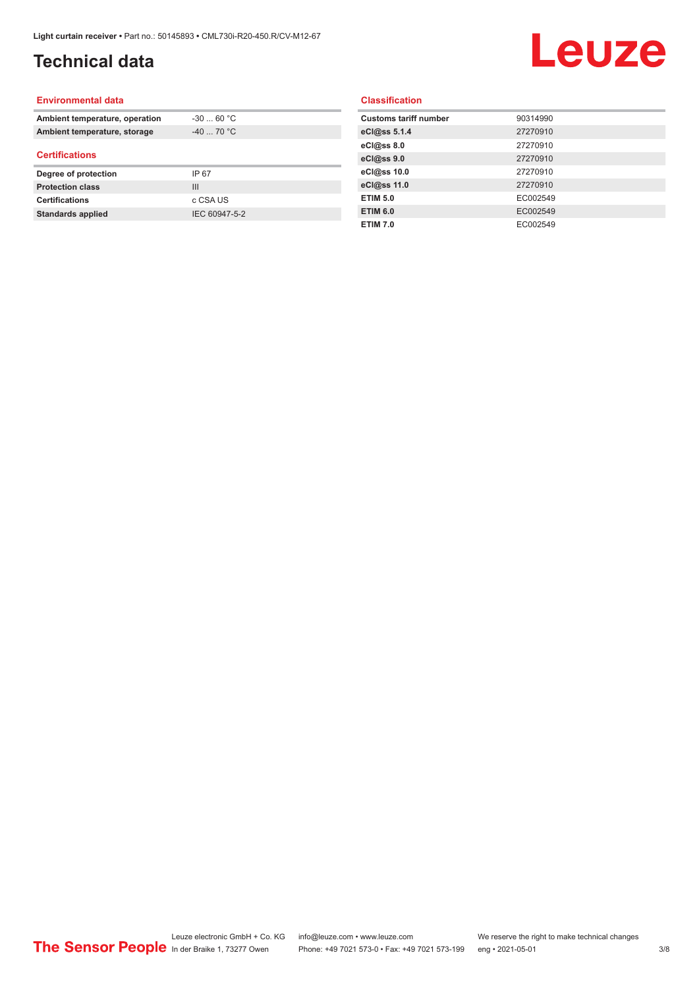### **Technical data**

## Leuze

#### **Environmental data**

| Ambient temperature, operation | $-3060 °C$  |  |
|--------------------------------|-------------|--|
| Ambient temperature, storage   | $-40$ 70 °C |  |
| <b>Certifications</b>          |             |  |
|                                |             |  |
| Degree of protection           | IP 67       |  |
| <b>Protection class</b>        | Ш           |  |
| <b>Certifications</b>          | c CSA US    |  |

#### **Classification**

| <b>Customs tariff number</b> | 90314990 |
|------------------------------|----------|
| eCl@ss 5.1.4                 | 27270910 |
| eCl@ss 8.0                   | 27270910 |
| eCl@ss 9.0                   | 27270910 |
| eCl@ss 10.0                  | 27270910 |
| eCl@ss 11.0                  | 27270910 |
| <b>ETIM 5.0</b>              | EC002549 |
| <b>ETIM 6.0</b>              | EC002549 |
| <b>ETIM 7.0</b>              | EC002549 |
|                              |          |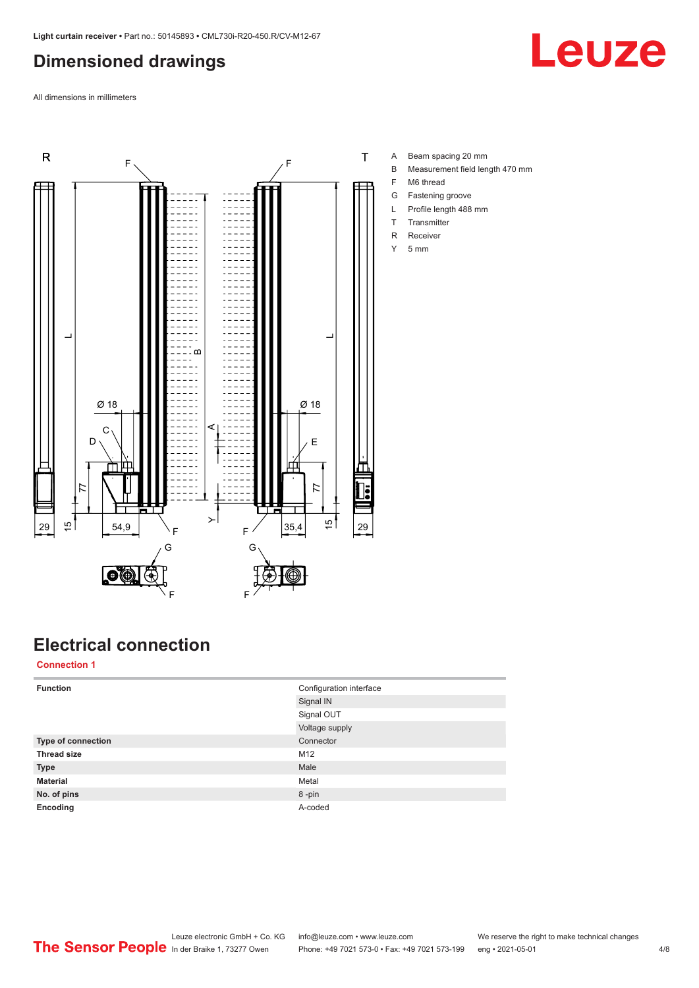#### <span id="page-3-0"></span>**Dimensioned drawings**

**Leuze** 

All dimensions in millimeters



## **Electrical connection**

**Connection 1**

| <b>Function</b>    | Configuration interface |
|--------------------|-------------------------|
|                    | Signal IN               |
|                    | Signal OUT              |
|                    | Voltage supply          |
| Type of connection | Connector               |
| <b>Thread size</b> | M12                     |
| <b>Type</b>        | Male                    |
| <b>Material</b>    | Metal                   |
| No. of pins        | 8-pin                   |
| Encoding           | A-coded                 |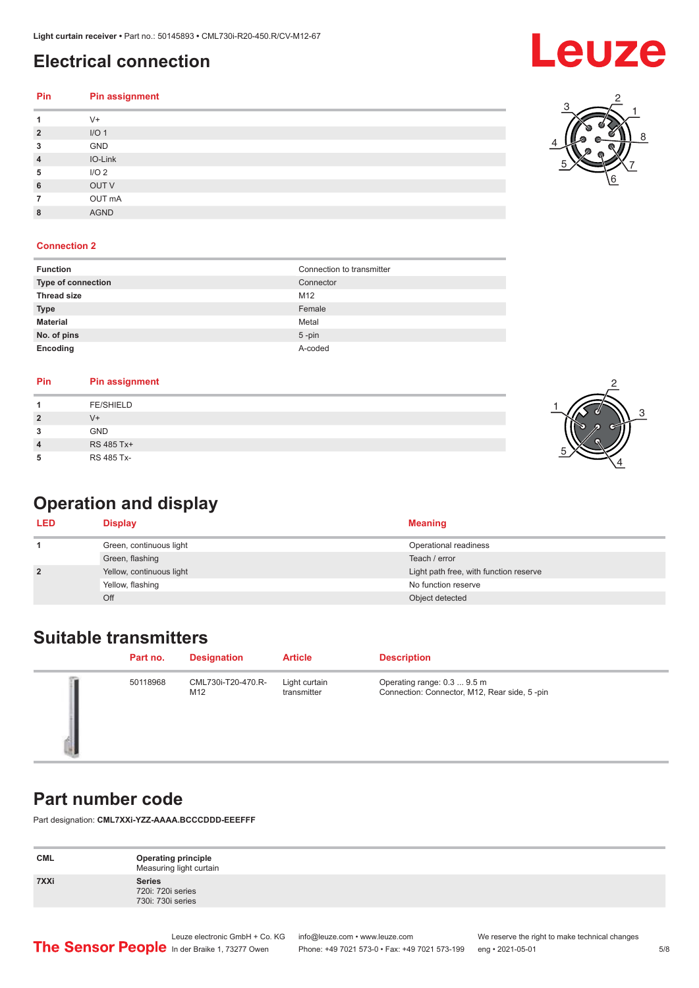#### <span id="page-4-0"></span>**Electrical connection**

| <b>Pin</b>  | <b>Pin assignment</b> |
|-------------|-----------------------|
| 1           | $V +$                 |
| $\mathbf 2$ | I/O <sub>1</sub>      |
| 3           | GND                   |
| 4           | IO-Link               |
| 5           | I/O <sub>2</sub>      |
| 6           | OUT V                 |
| 7           | OUT mA                |
| 8           | <b>AGND</b>           |

#### **Connection 2**

| <b>Function</b>    | Connection to transmitter |
|--------------------|---------------------------|
| Type of connection | Connector                 |
| <b>Thread size</b> | M12                       |
| <b>Type</b>        | Female                    |
| <b>Material</b>    | Metal                     |
| No. of pins        | $5$ -pin                  |
| Encoding           | A-coded                   |

| Pin            | <b>Pin assignment</b> |  |
|----------------|-----------------------|--|
|                | <b>FE/SHIELD</b>      |  |
| $\overline{2}$ | $V +$                 |  |
| 3              | <b>GND</b>            |  |
| $\overline{4}$ | RS 485 Tx+            |  |
| 5              | RS 485 Tx-            |  |

### **Operation and display**

| <b>LED</b>     | <b>Display</b>           | <b>Meaning</b>                         |
|----------------|--------------------------|----------------------------------------|
|                | Green, continuous light  | Operational readiness                  |
|                | Green, flashing          | Teach / error                          |
| $\overline{2}$ | Yellow, continuous light | Light path free, with function reserve |
|                | Yellow, flashing         | No function reserve                    |
|                | Off                      | Object detected                        |

#### **Suitable transmitters**

| Part no. | <b>Designation</b>        | <b>Article</b>               | <b>Description</b>                                                          |
|----------|---------------------------|------------------------------|-----------------------------------------------------------------------------|
| 50118968 | CML730i-T20-470.R-<br>M12 | Light curtain<br>transmitter | Operating range: 0.3  9.5 m<br>Connection: Connector, M12, Rear side, 5-pin |

#### **Part number code**

Part designation: **CML7XXi-YZZ-AAAA.BCCCDDD-EEEFFF**

| <b>CML</b> | <b>Operating principle</b><br>Measuring light curtain   |
|------------|---------------------------------------------------------|
| 7XXi       | <b>Series</b><br>720i: 720i series<br>730i: 730i series |





6 7

5

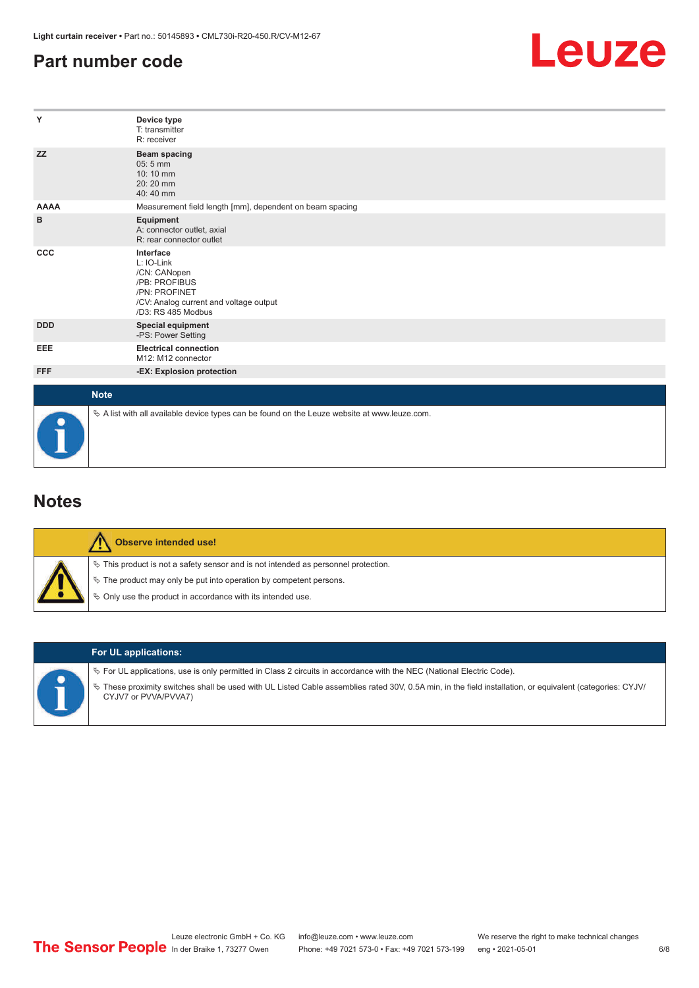#### <span id="page-5-0"></span>**Part number code**



| Y           | Device type<br>T: transmitter<br>R: receiver                                                                                              |
|-------------|-------------------------------------------------------------------------------------------------------------------------------------------|
| <b>ZZ</b>   | Beam spacing<br>$05:5$ mm<br>10:10 mm<br>$20:20$ mm<br>40:40 mm                                                                           |
| <b>AAAA</b> | Measurement field length [mm], dependent on beam spacing                                                                                  |
| в           | Equipment<br>A: connector outlet, axial<br>R: rear connector outlet                                                                       |
| <b>CCC</b>  | Interface<br>L: IO-Link<br>/CN: CANopen<br>/PB: PROFIBUS<br>/PN: PROFINET<br>/CV: Analog current and voltage output<br>/D3: RS 485 Modbus |
| <b>DDD</b>  | <b>Special equipment</b><br>-PS: Power Setting                                                                                            |
| EEE         | <b>Electrical connection</b><br>M12: M12 connector                                                                                        |
| <b>FFF</b>  | -EX: Explosion protection                                                                                                                 |
| <b>Note</b> |                                                                                                                                           |
|             | $\&$ A list with all available device types can be found on the Leuze website at www.leuze.com.                                           |

#### **Notes**

| <b>Observe intended use!</b>                                                                                                                                                                                                  |
|-------------------------------------------------------------------------------------------------------------------------------------------------------------------------------------------------------------------------------|
| $\%$ This product is not a safety sensor and is not intended as personnel protection.<br>$\%$ The product may only be put into operation by competent persons.<br>§ Only use the product in accordance with its intended use. |



#### **For UL applications:**

ª For UL applications, use is only permitted in Class 2 circuits in accordance with the NEC (National Electric Code).

ª These proximity switches shall be used with UL Listed Cable assemblies rated 30V, 0.5A min, in the field installation, or equivalent (categories: CYJV/ CYJV7 or PVVA/PVVA7)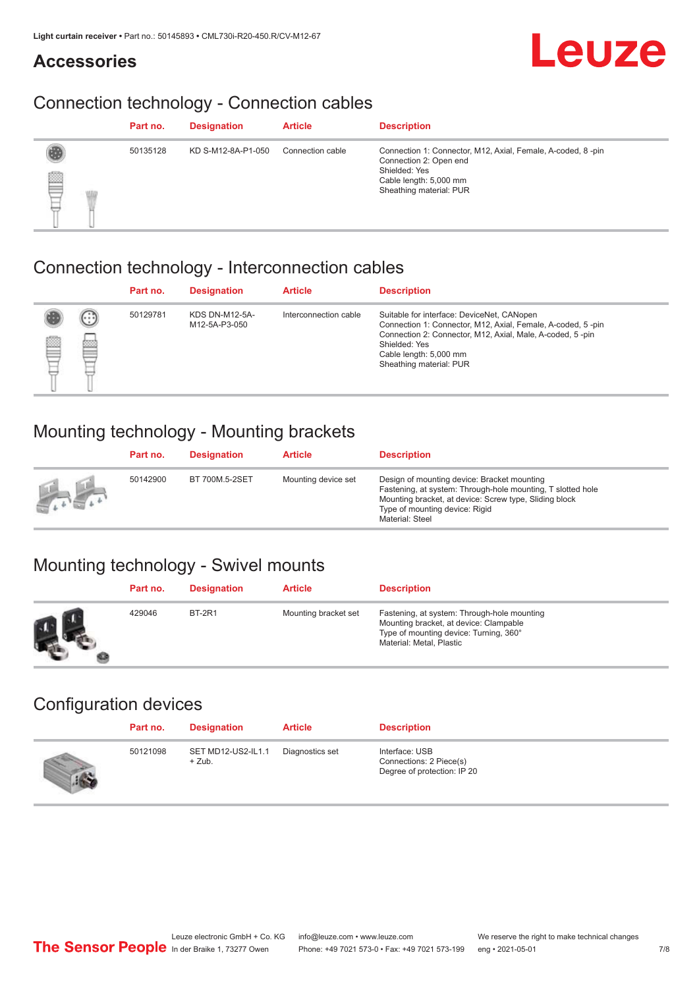#### **Accessories**

## **Leuze**

### Connection technology - Connection cables

|   | Part no. | <b>Designation</b> | <b>Article</b>   | <b>Description</b>                                                                                                                                          |
|---|----------|--------------------|------------------|-------------------------------------------------------------------------------------------------------------------------------------------------------------|
| U | 50135128 | KD S-M12-8A-P1-050 | Connection cable | Connection 1: Connector, M12, Axial, Female, A-coded, 8-pin<br>Connection 2: Open end<br>Shielded: Yes<br>Cable length: 5,000 mm<br>Sheathing material: PUR |

#### Connection technology - Interconnection cables

|   |                    | Part no. | <b>Designation</b>                     | <b>Article</b>        | <b>Description</b>                                                                                                                                                                                                                           |
|---|--------------------|----------|----------------------------------------|-----------------------|----------------------------------------------------------------------------------------------------------------------------------------------------------------------------------------------------------------------------------------------|
| ₿ | (.<br><b>drams</b> | 50129781 | <b>KDS DN-M12-5A-</b><br>M12-5A-P3-050 | Interconnection cable | Suitable for interface: DeviceNet, CANopen<br>Connection 1: Connector, M12, Axial, Female, A-coded, 5-pin<br>Connection 2: Connector, M12, Axial, Male, A-coded, 5-pin<br>Shielded: Yes<br>Cable length: 5,000 mm<br>Sheathing material: PUR |

#### Mounting technology - Mounting brackets

|               | Part no. | <b>Designation</b> | <b>Article</b>      | <b>Description</b>                                                                                                                                                                                                        |
|---------------|----------|--------------------|---------------------|---------------------------------------------------------------------------------------------------------------------------------------------------------------------------------------------------------------------------|
| <b>Altres</b> | 50142900 | BT 700M.5-2SET     | Mounting device set | Design of mounting device: Bracket mounting<br>Fastening, at system: Through-hole mounting, T slotted hole<br>Mounting bracket, at device: Screw type, Sliding block<br>Type of mounting device: Rigid<br>Material: Steel |

#### Mounting technology - Swivel mounts

| Part no. | <b>Designation</b> | <b>Article</b>       | <b>Description</b>                                                                                                                                          |
|----------|--------------------|----------------------|-------------------------------------------------------------------------------------------------------------------------------------------------------------|
| 429046   | <b>BT-2R1</b>      | Mounting bracket set | Fastening, at system: Through-hole mounting<br>Mounting bracket, at device: Clampable<br>Type of mounting device: Turning, 360°<br>Material: Metal, Plastic |

#### Configuration devices

| Part no. | <b>Designation</b>             | <b>Article</b>  | <b>Description</b>                                                       |
|----------|--------------------------------|-----------------|--------------------------------------------------------------------------|
| 50121098 | SET MD12-US2-IL1.1<br>$+$ Zub. | Diagnostics set | Interface: USB<br>Connections: 2 Piece(s)<br>Degree of protection: IP 20 |